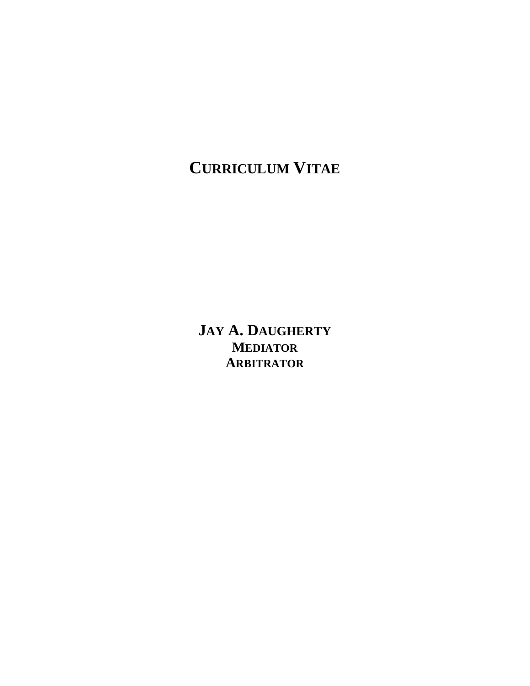# **CURRICULUM VITAE**

**JAY A. DAUGHERTY MEDIATOR ARBITRATOR**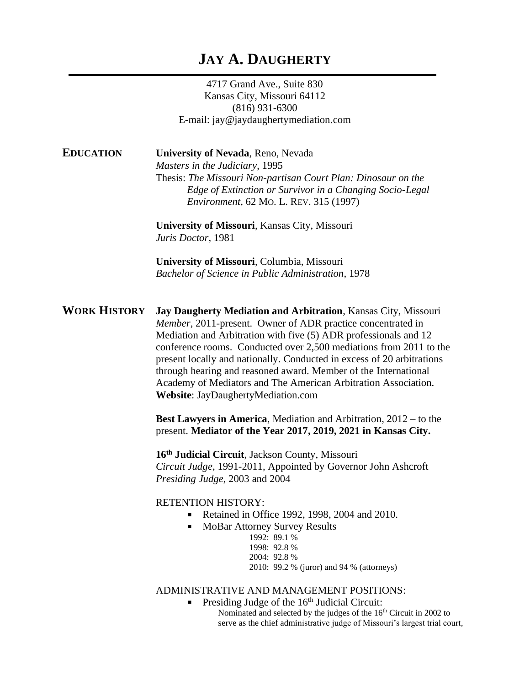## **JAY A. DAUGHERTY**

4717 Grand Ave., Suite 830 Kansas City, Missouri 64112 (816) 931-6300 E-mail: jay@jaydaughertymediation.com

**EDUCATION University of Nevada**, Reno, Nevada

*Masters in the Judiciary*, 1995 Thesis: *The Missouri Non-partisan Court Plan: Dinosaur on the Edge of Extinction or Survivor in a Changing Socio-Legal Environment*, 62 MO. L. REV. 315 (1997)

**University of Missouri**, Kansas City, Missouri *Juris Doctor*, 1981

**University of Missouri**, Columbia, Missouri *Bachelor of Science in Public Administration*, 1978

**WORK HISTORY Jay Daugherty Mediation and Arbitration**, Kansas City, Missouri *Member*, 2011-present. Owner of ADR practice concentrated in Mediation and Arbitration with five (5) ADR professionals and 12 conference rooms. Conducted over 2,500 mediations from 2011 to the present locally and nationally. Conducted in excess of 20 arbitrations through hearing and reasoned award. Member of the International Academy of Mediators and The American Arbitration Association. **Website**: JayDaughertyMediation.com

> **Best Lawyers in America**, Mediation and Arbitration, 2012 – to the present. **Mediator of the Year 2017, 2019, 2021 in Kansas City.**

**16th Judicial Circuit**, Jackson County, Missouri *Circuit Judge*, 1991-2011, Appointed by Governor John Ashcroft *Presiding Judge*, 2003 and 2004

RETENTION HISTORY:

- Retained in Office 1992, 1998, 2004 and 2010.  $\blacksquare$
- $\blacksquare$ MoBar Attorney Survey Results
	- 1992: 89.1 % 1998: 92.8 %
		- 2004: 92.8 %

2010: 99.2 % (juror) and 94 % (attorneys)

### ADMINISTRATIVE AND MANAGEMENT POSITIONS:

Presiding Judge of the 16<sup>th</sup> Judicial Circuit:  $\blacksquare$ 

Nominated and selected by the judges of the 16th Circuit in 2002 to serve as the chief administrative judge of Missouri's largest trial court,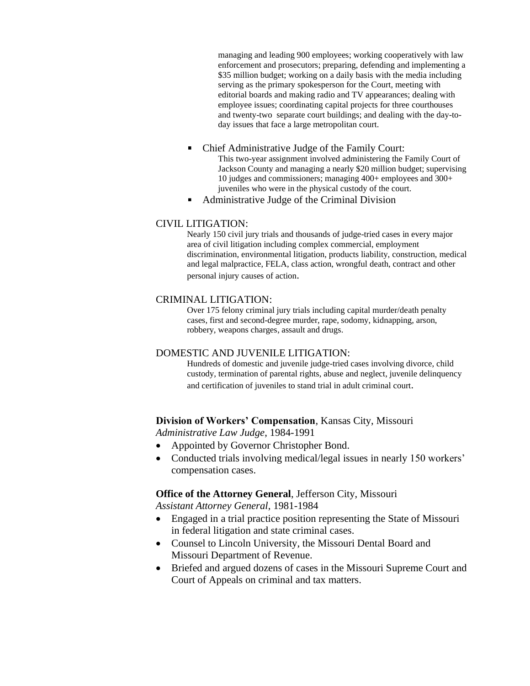managing and leading 900 employees; working cooperatively with law enforcement and prosecutors; preparing, defending and implementing a \$35 million budget; working on a daily basis with the media including serving as the primary spokesperson for the Court, meeting with editorial boards and making radio and TV appearances; dealing with employee issues; coordinating capital projects for three courthouses and twenty-two separate court buildings; and dealing with the day-today issues that face a large metropolitan court.

- Chief Administrative Judge of the Family Court:  $\blacksquare$ This two-year assignment involved administering the Family Court of Jackson County and managing a nearly \$20 million budget; supervising 10 judges and commissioners; managing 400+ employees and 300+ juveniles who were in the physical custody of the court.
- Administrative Judge of the Criminal Division  $\blacksquare$

### CIVIL LITIGATION:

Nearly 150 civil jury trials and thousands of judge-tried cases in every major area of civil litigation including complex commercial, employment discrimination, environmental litigation, products liability, construction, medical and legal malpractice, FELA, class action, wrongful death, contract and other personal injury causes of action.

### CRIMINAL LITIGATION:

Over 175 felony criminal jury trials including capital murder/death penalty cases, first and second-degree murder, rape, sodomy, kidnapping, arson, robbery, weapons charges, assault and drugs.

#### DOMESTIC AND JUVENILE LITIGATION:

Hundreds of domestic and juvenile judge-tried cases involving divorce, child custody, termination of parental rights, abuse and neglect, juvenile delinquency and certification of juveniles to stand trial in adult criminal court.

#### **Division of Workers' Compensation**, Kansas City, Missouri

*Administrative Law Judge*, 1984-1991

- Appointed by Governor Christopher Bond.
- Conducted trials involving medical/legal issues in nearly 150 workers' compensation cases.

**Office of the Attorney General**, Jefferson City, Missouri

*Assistant Attorney General*, 1981-1984

- Engaged in a trial practice position representing the State of Missouri in federal litigation and state criminal cases.
- Counsel to Lincoln University, the Missouri Dental Board and Missouri Department of Revenue.
- Briefed and argued dozens of cases in the Missouri Supreme Court and Court of Appeals on criminal and tax matters.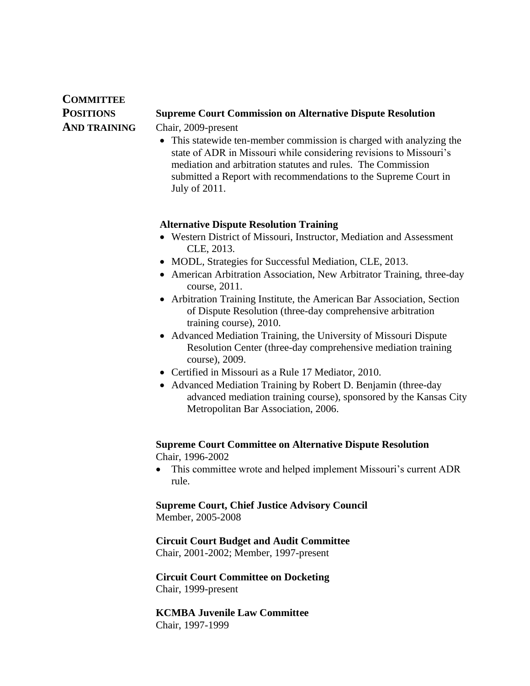# **COMMITTEE**

### **POSITIONS Supreme Court Commission on Alternative Dispute Resolution**

**AND TRAINING** Chair, 2009-present

• This statewide ten-member commission is charged with analyzing the state of ADR in Missouri while considering revisions to Missouri's mediation and arbitration statutes and rules. The Commission submitted a Report with recommendations to the Supreme Court in July of 2011.

### **Alternative Dispute Resolution Training**

- Western District of Missouri, Instructor, Mediation and Assessment CLE, 2013.
- MODL, Strategies for Successful Mediation, CLE, 2013.
- American Arbitration Association, New Arbitrator Training, three-day course, 2011.
- Arbitration Training Institute, the American Bar Association, Section of Dispute Resolution (three-day comprehensive arbitration training course), 2010.
- Advanced Mediation Training, the University of Missouri Dispute Resolution Center (three-day comprehensive mediation training course), 2009.
- Certified in Missouri as a Rule 17 Mediator, 2010.
- Advanced Mediation Training by Robert D. Benjamin (three-day advanced mediation training course), sponsored by the Kansas City Metropolitan Bar Association, 2006.

### **Supreme Court Committee on Alternative Dispute Resolution** Chair, 1996-2002

• This committee wrote and helped implement Missouri's current ADR rule.

# **Supreme Court, Chief Justice Advisory Council**

Member, 2005-2008

### **Circuit Court Budget and Audit Committee**

Chair, 2001-2002; Member, 1997-present

### **Circuit Court Committee on Docketing** Chair, 1999-present

**KCMBA Juvenile Law Committee** Chair, 1997-1999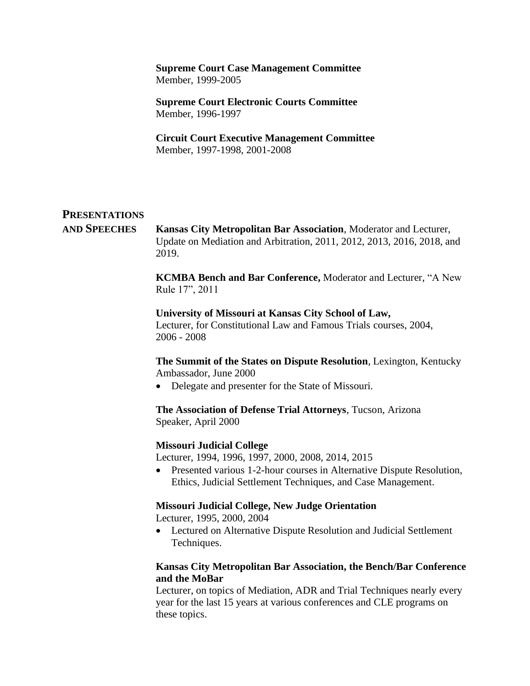### **Supreme Court Case Management Committee** Member, 1999-2005

**Supreme Court Electronic Courts Committee** Member, 1996-1997

**Circuit Court Executive Management Committee** Member, 1997-1998, 2001-2008

### **PRESENTATIONS**

**AND SPEECHES Kansas City Metropolitan Bar Association**, Moderator and Lecturer, Update on Mediation and Arbitration, 2011, 2012, 2013, 2016, 2018, and 2019.

> **KCMBA Bench and Bar Conference,** Moderator and Lecturer, "A New Rule 17", 2011

**University of Missouri at Kansas City School of Law,** Lecturer, for Constitutional Law and Famous Trials courses, 2004, 2006 - 2008

**The Summit of the States on Dispute Resolution**, Lexington, Kentucky Ambassador, June 2000

• Delegate and presenter for the State of Missouri.

**The Association of Defense Trial Attorneys**, Tucson, Arizona Speaker, April 2000

### **Missouri Judicial College**

Lecturer, 1994, 1996, 1997, 2000, 2008, 2014, 2015

• Presented various 1-2-hour courses in Alternative Dispute Resolution, Ethics, Judicial Settlement Techniques, and Case Management.

### **Missouri Judicial College, New Judge Orientation**

Lecturer, 1995, 2000, 2004

• Lectured on Alternative Dispute Resolution and Judicial Settlement Techniques.

### **Kansas City Metropolitan Bar Association, the Bench/Bar Conference and the MoBar**

Lecturer, on topics of Mediation, ADR and Trial Techniques nearly every year for the last 15 years at various conferences and CLE programs on these topics.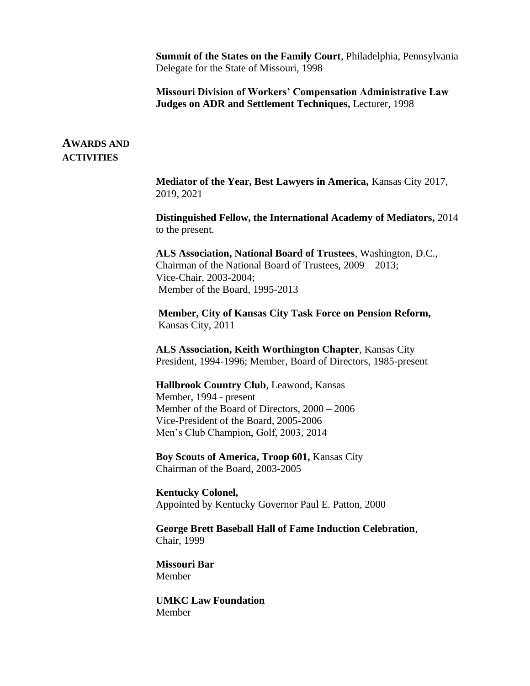**Summit of the States on the Family Court**, Philadelphia, Pennsylvania Delegate for the State of Missouri, 1998

**Missouri Division of Workers' Compensation Administrative Law Judges on ADR and Settlement Techniques,** Lecturer, 1998

### **AWARDS AND ACTIVITIES**

**Mediator of the Year, Best Lawyers in America,** Kansas City 2017, 2019, 2021

**Distinguished Fellow, the International Academy of Mediators,** 2014 to the present.

**ALS Association, National Board of Trustees**, Washington, D.C., Chairman of the National Board of Trustees, 2009 – 2013; Vice-Chair, 2003-2004; Member of the Board, 1995-2013

**Member, City of Kansas City Task Force on Pension Reform,**  Kansas City, 2011

**ALS Association, Keith Worthington Chapter**, Kansas City President, 1994-1996; Member, Board of Directors, 1985-present

**Hallbrook Country Club**, Leawood, Kansas Member, 1994 - present Member of the Board of Directors, 2000 – 2006 Vice-President of the Board, 2005-2006 Men's Club Champion, Golf, 2003, 2014

**Boy Scouts of America, Troop 601,** Kansas City Chairman of the Board, 2003-2005

**Kentucky Colonel,**  Appointed by Kentucky Governor Paul E. Patton, 2000

**George Brett Baseball Hall of Fame Induction Celebration**, Chair, 1999

**Missouri Bar** Member

**UMKC Law Foundation** Member